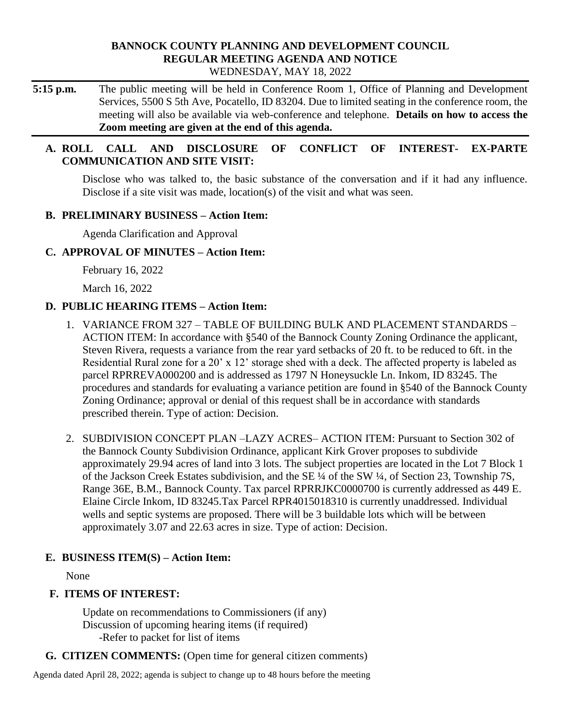### **BANNOCK COUNTY PLANNING AND DEVELOPMENT COUNCIL REGULAR MEETING AGENDA AND NOTICE** WEDNESDAY, MAY 18, 2022

**5:15 p.m.** The public meeting will be held in Conference Room 1, Office of Planning and Development Services, 5500 S 5th Ave, Pocatello, ID 83204. Due to limited seating in the conference room, the meeting will also be available via web-conference and telephone. **Details on how to access the Zoom meeting are given at the end of this agenda.** 

# **A. ROLL CALL AND DISCLOSURE OF CONFLICT OF INTEREST- EX-PARTE COMMUNICATION AND SITE VISIT:**

Disclose who was talked to, the basic substance of the conversation and if it had any influence. Disclose if a site visit was made, location(s) of the visit and what was seen.

## **B. PRELIMINARY BUSINESS – Action Item:**

Agenda Clarification and Approval

## **C. APPROVAL OF MINUTES – Action Item:**

February 16, 2022

March 16, 2022

# **D. PUBLIC HEARING ITEMS – Action Item:**

- 1. VARIANCE FROM 327 TABLE OF BUILDING BULK AND PLACEMENT STANDARDS ACTION ITEM: In accordance with §540 of the Bannock County Zoning Ordinance the applicant, Steven Rivera, requests a variance from the rear yard setbacks of 20 ft. to be reduced to 6ft. in the Residential Rural zone for a 20' x 12' storage shed with a deck. The affected property is labeled as parcel RPRREVA000200 and is addressed as 1797 N Honeysuckle Ln. Inkom, ID 83245. The procedures and standards for evaluating a variance petition are found in §540 of the Bannock County Zoning Ordinance; approval or denial of this request shall be in accordance with standards prescribed therein. Type of action: Decision.
- 2. SUBDIVISION CONCEPT PLAN –LAZY ACRES– ACTION ITEM: Pursuant to Section 302 of the Bannock County Subdivision Ordinance, applicant Kirk Grover proposes to subdivide approximately 29.94 acres of land into 3 lots. The subject properties are located in the Lot 7 Block 1 of the Jackson Creek Estates subdivision, and the SE ¼ of the SW ¼, of Section 23, Township 7S, Range 36E, B.M., Bannock County. Tax parcel RPRRJKC0000700 is currently addressed as 449 E. Elaine Circle Inkom, ID 83245.Tax Parcel RPR4015018310 is currently unaddressed. Individual wells and septic systems are proposed. There will be 3 buildable lots which will be between approximately 3.07 and 22.63 acres in size. Type of action: Decision.

# **E. BUSINESS ITEM(S) – Action Item:**

None

# **F. ITEMS OF INTEREST:**

Update on recommendations to Commissioners (if any) Discussion of upcoming hearing items (if required) -Refer to packet for list of items

**G. CITIZEN COMMENTS:** (Open time for general citizen comments)

Agenda dated April 28, 2022; agenda is subject to change up to 48 hours before the meeting